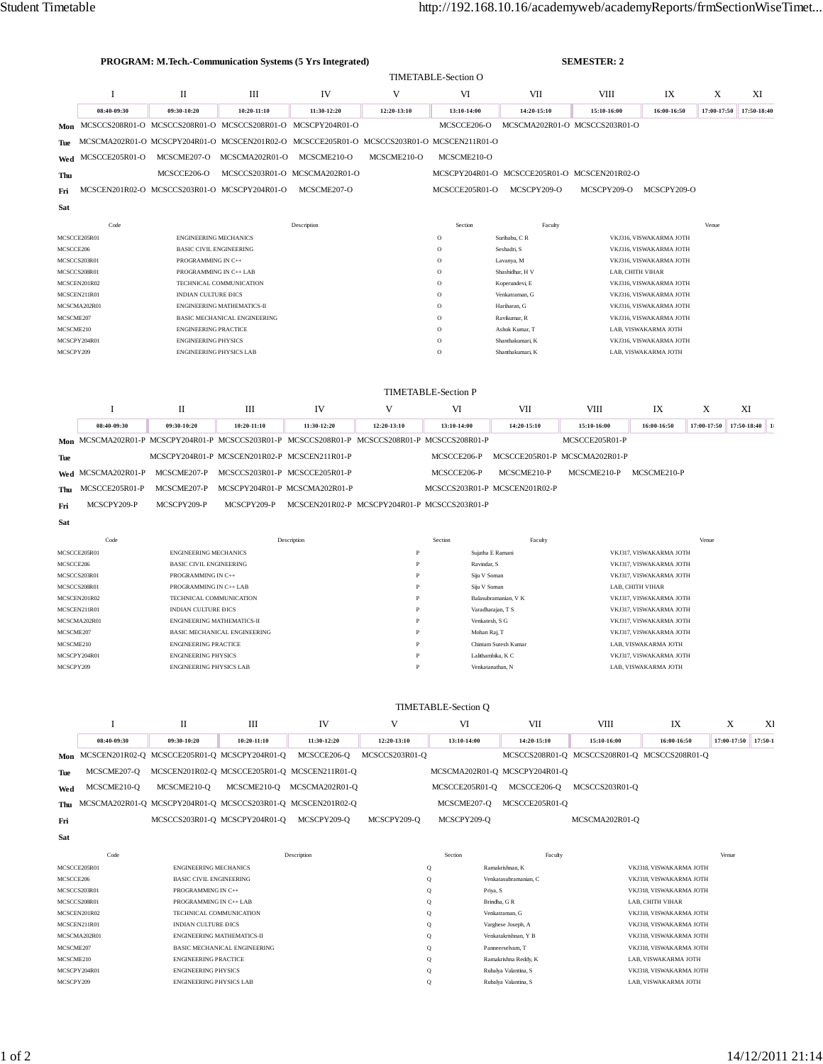| <b>PROGRAM: M.Tech.-Communication Systems (5 Yrs Integrated)</b> |                                                                                               |                                |                                                   |                                              |                      | <b>SEMESTER: 2</b>               |                                              |                               |                                                    |             |                |  |  |
|------------------------------------------------------------------|-----------------------------------------------------------------------------------------------|--------------------------------|---------------------------------------------------|----------------------------------------------|----------------------|----------------------------------|----------------------------------------------|-------------------------------|----------------------------------------------------|-------------|----------------|--|--|
|                                                                  | <b>TIMETABLE-Section O</b>                                                                    |                                |                                                   |                                              |                      |                                  |                                              |                               |                                                    |             |                |  |  |
|                                                                  | I                                                                                             | П                              | Ш                                                 | IV                                           | V                    | VI                               | VII                                          | <b>VIII</b>                   | IX                                                 | X           | XI             |  |  |
|                                                                  | 08:40-09:30                                                                                   | 09:30-10:20                    | 10:20-11:10                                       | 11:30-12:20                                  | 12:20-13:10          | 13:10-14:00                      | 14:20-15:10                                  | 15:10-16:00                   | 16:00-16:50                                        | 17:00-17:50 | 17:50-18:40    |  |  |
|                                                                  | Mon MCSCCS208R01-O MCSCCS208R01-O MCSCCS208R01-O MCSCPY204R01-O                               |                                |                                                   |                                              |                      | MCSCCE206-O                      |                                              | MCSCMA202R01-O MCSCCS203R01-O |                                                    |             |                |  |  |
| Tue                                                              | MCSCMA202R01-O MCSCPY204R01-O MCSCEN201R02-O MCSCCE205R01-O MCSCCS203R01-O MCSCEN211R01-O     |                                |                                                   |                                              |                      |                                  |                                              |                               |                                                    |             |                |  |  |
| Wed                                                              | MCSCCE205R01-O                                                                                | MCSCME207-O                    | MCSCMA202R01-O                                    | MCSCME210-O                                  | MCSCME210-O          | MCSCME210-O                      |                                              |                               |                                                    |             |                |  |  |
| Thu                                                              |                                                                                               | MCSCCE206-O                    |                                                   | MCSCCS203R01-O MCSCMA202R01-O                |                      |                                  | MCSCPY204R01-O MCSCCE205R01-O MCSCEN201R02-O |                               |                                                    |             |                |  |  |
|                                                                  |                                                                                               |                                | MCSCEN201R02-O MCSCCS203R01-O MCSCPY204R01-O      | MCSCME207-O                                  |                      | MCSCCE205R01-O                   | MCSCPY209-O                                  | MCSCPY209-O                   | MCSCPY209-O                                        |             |                |  |  |
| Fri                                                              |                                                                                               |                                |                                                   |                                              |                      |                                  |                                              |                               |                                                    |             |                |  |  |
| Sat                                                              |                                                                                               |                                |                                                   |                                              |                      |                                  |                                              |                               |                                                    |             |                |  |  |
|                                                                  | Code                                                                                          |                                |                                                   | Description                                  |                      | Section                          | Faculty                                      |                               |                                                    | Venue       |                |  |  |
|                                                                  | MCSCCE205R01                                                                                  | <b>ENGINEERING MECHANICS</b>   |                                                   |                                              |                      | $\mathbf O$                      | Suribabu, C R                                |                               | VKJ316, VISWAKARMA JOTH                            |             |                |  |  |
| MCSCCE206                                                        |                                                                                               | <b>BASIC CIVIL ENGINEERING</b> |                                                   |                                              |                      | $\circ$                          | Seshadri, S                                  |                               | VKJ316, VISWAKARMA JOTH                            |             |                |  |  |
|                                                                  | MCSCCS203R01                                                                                  | PROGRAMMING IN C++             |                                                   |                                              |                      | $\mathbf O$                      | Lavanya, M                                   |                               | VKJ316, VISWAKARMA JOTH                            |             |                |  |  |
|                                                                  | MCSCCS208R01                                                                                  |                                | PROGRAMMING IN C++ LAB                            |                                              |                      | O                                | Shashidhar, H V                              |                               | LAB, CHITH VIHAR                                   |             |                |  |  |
|                                                                  | MCSCEN201R02<br>MCSCEN211R01                                                                  | INDIAN CULTURE DICS            | TECHNICAL COMMUNICATION                           |                                              |                      | $\circ$<br>$\mathbf O$           | Koperundevi, E<br>Venkatraman, G             |                               | VKJ316, VISWAKARMA JOTH<br>VKJ316, VISWAKARMA JOTH |             |                |  |  |
|                                                                  | MCSCMA202R01                                                                                  |                                | <b>ENGINEERING MATHEMATICS-II</b>                 |                                              |                      | $\mathbf O$                      | Hariharan, G                                 |                               | VKJ316, VISWAKARMA JOTH                            |             |                |  |  |
| MCSCME207                                                        |                                                                                               |                                | <b>BASIC MECHANICAL ENGINEERING</b>               |                                              |                      | $\circ$                          | Ravikumar, R                                 |                               | VKJ316, VISWAKARMA JOTH                            |             |                |  |  |
| MCSCME210                                                        |                                                                                               | <b>ENGINEERING PRACTICE</b>    |                                                   |                                              |                      | $\mathbf O$                      | Ashok Kumar, T                               |                               | LAB, VISWAKARMA JOTH                               |             |                |  |  |
|                                                                  | MCSCPY204R01                                                                                  | <b>ENGINEERING PHYSICS</b>     |                                                   |                                              |                      | $\circ$                          | Shanthakumari, K                             |                               | VKJ316, VISWAKARMA JOTH                            |             |                |  |  |
| MCSCPY209<br><b>ENGINEERING PHYSICS LAB</b>                      |                                                                                               |                                |                                                   | $\circ$                                      | Shanthakumari, K     |                                  | LAB, VISWAKARMA JOTH                         |                               |                                                    |             |                |  |  |
|                                                                  | I                                                                                             | $\mathbf{I}$                   | Ш                                                 | IV                                           | V                    | <b>TIMETABLE-Section P</b><br>VI | VII                                          | <b>VIII</b>                   | IX                                                 | X           | XI             |  |  |
|                                                                  | 08:40-09:30                                                                                   |                                |                                                   |                                              |                      |                                  |                                              |                               |                                                    |             | 17:50-18:40 1: |  |  |
|                                                                  |                                                                                               | 09:30-10:20                    | 10:20-11:10                                       | 11:30-12:20                                  | 12:20-13:10          | 13:10-14:00                      | 14:20-15:10                                  | 15:10-16:00                   | 16:00-16:50                                        | 17:00-17:50 |                |  |  |
|                                                                  | Mon MCSCMA202R01-P MCSCPY204R01-P MCSCCS203R01-P MCSCCS208R01-P MCSCCS208R01-P MCSCCS208R01-P |                                |                                                   |                                              |                      |                                  |                                              | MCSCCE205R01-P                |                                                    |             |                |  |  |
| Tue                                                              |                                                                                               |                                | MCSCPY204R01-P MCSCEN201R02-P MCSCEN211R01-P      |                                              |                      | MCSCCE206-P                      | MCSCCE205R01-P MCSCMA202R01-P                |                               |                                                    |             |                |  |  |
|                                                                  | Wed MCSCMA202R01-P                                                                            | MCSCME207-P                    | MCSCCS203R01-P MCSCCE205R01-P                     |                                              |                      | MCSCCE206-P                      | MCSCME210-P                                  | MCSCME210-P                   | MCSCME210-P                                        |             |                |  |  |
| Thu                                                              | MCSCCE205R01-P                                                                                | MCSCME207-P                    | MCSCPY204R01-P MCSCMA202R01-P                     |                                              |                      |                                  | MCSCCS203R01-P MCSCEN201R02-P                |                               |                                                    |             |                |  |  |
| Fri                                                              | MCSCPY209-P                                                                                   | MCSCPY209-P                    | MCSCPY209-P                                       | MCSCEN201R02-P MCSCPY204R01-P MCSCCS203R01-P |                      |                                  |                                              |                               |                                                    |             |                |  |  |
| Sat                                                              |                                                                                               |                                |                                                   |                                              |                      |                                  |                                              |                               |                                                    |             |                |  |  |
|                                                                  | Code                                                                                          |                                |                                                   | Description                                  |                      | Section                          | Faculty                                      |                               |                                                    | Venue       |                |  |  |
|                                                                  | MCSCCE205R01                                                                                  | <b>ENGINEERING MECHANICS</b>   |                                                   |                                              | P                    |                                  | Sujatha E Ramani                             |                               | VKJ317, VISWAKARMA JOTH                            |             |                |  |  |
| MCSCCE206                                                        |                                                                                               | <b>BASIC CIVIL ENGINEERING</b> |                                                   |                                              | P                    | Ravindar, S                      |                                              |                               | VKJ317, VISWAKARMA JOTH                            |             |                |  |  |
|                                                                  | MCSCCS203R01                                                                                  | PROGRAMMING IN C++             |                                                   |                                              | P                    |                                  | Siju V Soman                                 |                               | VKJ317, VISWAKARMA JOTH                            |             |                |  |  |
|                                                                  | MCSCCS208R01                                                                                  | PROGRAMMING IN C++ LAB         |                                                   |                                              | P                    |                                  | Siju V Soman                                 |                               | LAB, CHITH VIHAR                                   |             |                |  |  |
| MCSCEN201R02                                                     |                                                                                               | TECHNICAL COMMUNICATION        |                                                   | P                                            | Balasubramanian, V K |                                  | VKJ317, VISWAKARMA JOTH                      |                               |                                                    |             |                |  |  |
|                                                                  | MCSCEN211R01                                                                                  |                                | INDIAN CULTURE DICS<br>ENGINEERING MATHEMATICS-II |                                              | p                    |                                  | Varadharajan, T S                            |                               | VKJ317, VISWAKARMA JOTH<br>VKJ317, VISWAKARMA JOTH |             |                |  |  |
| MCSCME207                                                        | MCSCMA202R01                                                                                  |                                | BASIC MECHANICAL ENGINEERING                      |                                              |                      |                                  | Venkatesh, S G<br>Mohan Raj, T               |                               | VKJ317, VISWAKARMA JOTH                            |             |                |  |  |
| MCSCME210                                                        |                                                                                               | <b>ENGINEERING PRACTICE</b>    |                                                   |                                              | P                    |                                  | Chintam Suresh Kumar                         |                               | LAB, VISWAKARMA JOTH                               |             |                |  |  |
|                                                                  | MCSCPY204R01                                                                                  | <b>ENGINEERING PHYSICS</b>     |                                                   |                                              | $\overline{P}$       |                                  | Lalithambika, K C                            |                               | VKJ317, VISWAKARMA JOTH                            |             |                |  |  |
| MCSCPY209                                                        |                                                                                               | <b>ENGINEERING PHYSICS LAB</b> |                                                   |                                              | p                    |                                  | Venkatanathan, N                             |                               | LAB, VISWAKARMA JOTH                               |             |                |  |  |
|                                                                  |                                                                                               |                                |                                                   |                                              |                      |                                  |                                              |                               |                                                    |             |                |  |  |
|                                                                  |                                                                                               |                                |                                                   |                                              |                      |                                  |                                              |                               |                                                    |             |                |  |  |
|                                                                  |                                                                                               |                                |                                                   |                                              |                      | <b>TIMETABLE-Section O</b>       |                                              |                               |                                                    |             |                |  |  |

|            |             |             | Ш                                                | IV                                                              |                | VI             | VII                           | VIII                                         | IX          |             | XI        |
|------------|-------------|-------------|--------------------------------------------------|-----------------------------------------------------------------|----------------|----------------|-------------------------------|----------------------------------------------|-------------|-------------|-----------|
|            | 08:40-09:30 | 09:30-10:20 | $10:20-11:10$                                    | 11:30-12:20                                                     | 12:20-13:10    | 13:10-14:00    | 14:20-15:10                   | 15:10-16:00                                  | 16:00-16:50 | 17:00-17:50 | $17:50-1$ |
|            |             |             | Mon MCSCEN201R02-Q MCSCCE205R01-Q MCSCPY204R01-Q | MCSCCE206-Q                                                     | MCSCCS203R01-O |                |                               | MCSCCS208R01-Q MCSCCS208R01-Q MCSCCS208R01-Q |             |             |           |
| <b>Tue</b> | MCSCME207-Q |             |                                                  | MCSCEN201R02-Q MCSCCE205R01-Q MCSCEN211R01-Q                    |                |                | MCSCMA202R01-Q MCSCPY204R01-Q |                                              |             |             |           |
| Wed        | MCSCME210-Q | MCSCME210-Q | MCSCME210-O                                      | MCSCMA202R01-O                                                  |                | MCSCCE205R01-O | MCSCCE206-O                   | MCSCCS203R01-O                               |             |             |           |
|            |             |             |                                                  | Thu MCSCMA202R01-Q MCSCPY204R01-Q MCSCCS203R01-Q MCSCEN201R02-Q |                | MCSCME207-O    | MCSCCE205R01-Q                |                                              |             |             |           |
| Fri        |             |             | MCSCCS203R01-Q MCSCPY204R01-Q                    | MCSCPY209-O                                                     | MCSCPY209-O    | MCSCPY209-Q    |                               | MCSCMA202R01-Q                               |             |             |           |
|            |             |             |                                                  |                                                                 |                |                |                               |                                              |             |             |           |

| I<br>. |  |
|--------|--|
|        |  |

| Code         | Description                         | Section | Faculty               | Venue                   |
|--------------|-------------------------------------|---------|-----------------------|-------------------------|
| MCSCCE205R01 | <b>ENGINEERING MECHANICS</b>        | $\circ$ | Ramakrishnan, K       | VKJ318, VISWAKARMA JOTH |
| MCSCCE206    | <b>BASIC CIVIL ENGINEERING</b>      | Q       | Venkatasubramanian. C | VKJ318, VISWAKARMA JOTH |
| MCSCCS203R01 | PROGRAMMING IN C++                  | Q       | Priya, S              | VKJ318, VISWAKARMA JOTH |
| MCSCCS208R01 | PROGRAMMING IN C++ LAB              | Q       | Brindha, G R          | LAB. CHITH VIHAR        |
| MCSCEN201R02 | TECHNICAL COMMUNICATION             | $\circ$ | Venkatraman, G        | VKJ318, VISWAKARMA JOTH |
| MCSCEN211R01 | <b>INDIAN CULTURE DICS</b>          | Q       | Varghese Joseph, A    | VKJ318, VISWAKARMA JOTH |
| MCSCMA202R01 | <b>ENGINEERING MATHEMATICS-II</b>   | $\circ$ | Venkatakrishnan, Y B  | VKJ318, VISWAKARMA JOTH |
| MCSCME207    | <b>BASIC MECHANICAL ENGINEERING</b> | $\circ$ | Panneerselvam, T      | VKJ318, VISWAKARMA JOTH |
| MCSCME210    | <b>ENGINEERING PRACTICE</b>         | Q       | Ramakrishna Reddy, K  | LAB. VISWAKARMA JOTH    |
| MCSCPY204R01 | <b>ENGINEERING PHYSICS</b>          | Q       | Rubalya Valantina, S  | VKJ318, VISWAKARMA JOTH |
| MCSCPY209    | <b>ENGINEERING PHYSICS LAB</b>      | Q       | Rubalya Valantina, S  | LAB. VISWAKARMA JOTH    |